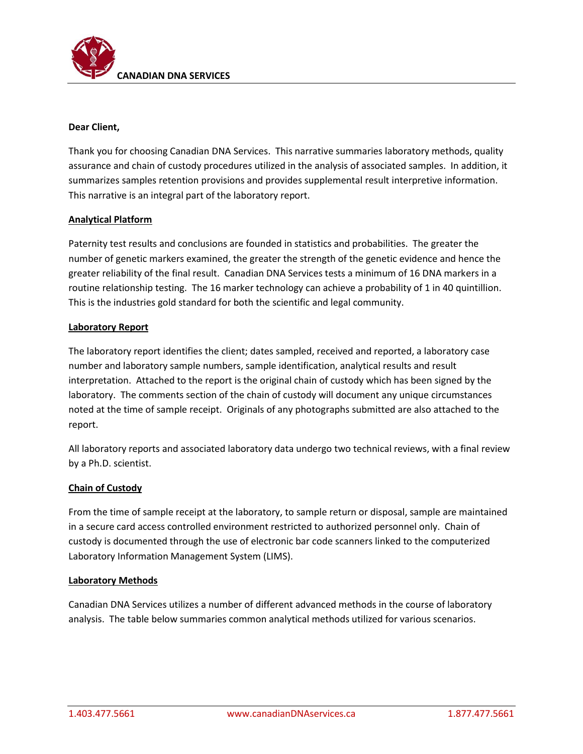

## **Dear Client,**

Thank you for choosing Canadian DNA Services. This narrative summaries laboratory methods, quality assurance and chain of custody procedures utilized in the analysis of associated samples. In addition, it summarizes samples retention provisions and provides supplemental result interpretive information. This narrative is an integral part of the laboratory report.

## **Analytical Platform**

Paternity test results and conclusions are founded in statistics and probabilities. The greater the number of genetic markers examined, the greater the strength of the genetic evidence and hence the greater reliability of the final result. Canadian DNA Services tests a minimum of 16 DNA markers in a routine relationship testing. The 16 marker technology can achieve a probability of 1 in 40 quintillion. This is the industries gold standard for both the scientific and legal community.

## **Laboratory Report**

The laboratory report identifies the client; dates sampled, received and reported, a laboratory case number and laboratory sample numbers, sample identification, analytical results and result interpretation. Attached to the report is the original chain of custody which has been signed by the laboratory. The comments section of the chain of custody will document any unique circumstances noted at the time of sample receipt. Originals of any photographs submitted are also attached to the report.

All laboratory reports and associated laboratory data undergo two technical reviews, with a final review by a Ph.D. scientist.

## **Chain of Custody**

From the time of sample receipt at the laboratory, to sample return or disposal, sample are maintained in a secure card access controlled environment restricted to authorized personnel only. Chain of custody is documented through the use of electronic bar code scanners linked to the computerized Laboratory Information Management System (LIMS).

## **Laboratory Methods**

Canadian DNA Services utilizes a number of different advanced methods in the course of laboratory analysis. The table below summaries common analytical methods utilized for various scenarios.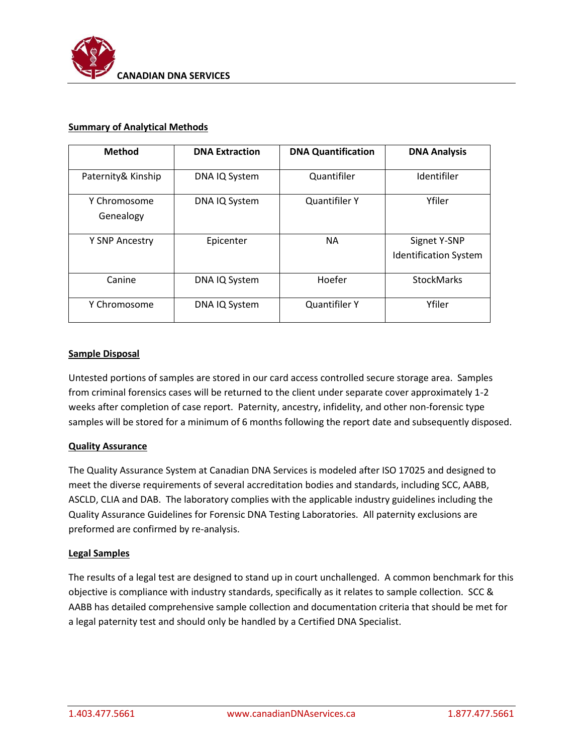

### **Summary of Analytical Methods**

| <b>Method</b>             | <b>DNA Extraction</b> | <b>DNA Quantification</b> | <b>DNA Analysis</b>                          |
|---------------------------|-----------------------|---------------------------|----------------------------------------------|
| Paternity& Kinship        | DNA IQ System         | Quantifiler               | Identifiler                                  |
| Y Chromosome<br>Genealogy | DNA IQ System         | <b>Quantifiler Y</b>      | Yfiler                                       |
| Y SNP Ancestry            | Epicenter             | NА                        | Signet Y-SNP<br><b>Identification System</b> |
| Canine                    | DNA IQ System         | Hoefer                    | <b>StockMarks</b>                            |
| Y Chromosome              | DNA IQ System         | <b>Quantifiler Y</b>      | Yfiler                                       |

### **Sample Disposal**

Untested portions of samples are stored in our card access controlled secure storage area. Samples from criminal forensics cases will be returned to the client under separate cover approximately 1-2 weeks after completion of case report. Paternity, ancestry, infidelity, and other non-forensic type samples will be stored for a minimum of 6 months following the report date and subsequently disposed.

## **Quality Assurance**

The Quality Assurance System at Canadian DNA Services is modeled after ISO 17025 and designed to meet the diverse requirements of several accreditation bodies and standards, including SCC, AABB, ASCLD, CLIA and DAB. The laboratory complies with the applicable industry guidelines including the Quality Assurance Guidelines for Forensic DNA Testing Laboratories. All paternity exclusions are preformed are confirmed by re-analysis.

#### **Legal Samples**

The results of a legal test are designed to stand up in court unchallenged. A common benchmark for this objective is compliance with industry standards, specifically as it relates to sample collection. SCC & AABB has detailed comprehensive sample collection and documentation criteria that should be met for a legal paternity test and should only be handled by a Certified DNA Specialist.